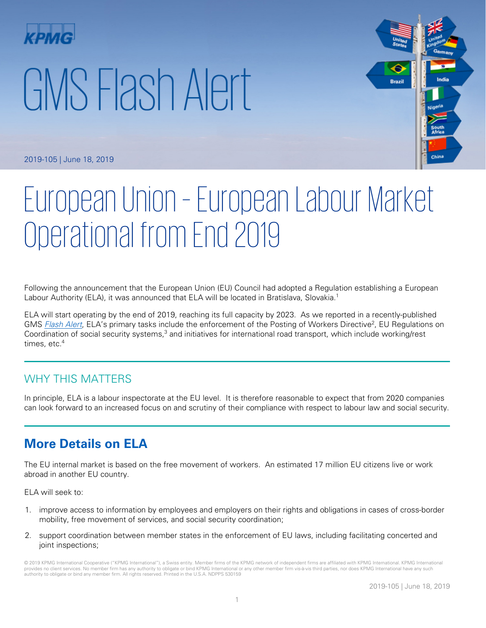# GMS Flash Alert



2019-105 | June 18, 2019

# European Union – European Labour Market Operational from End 2019

Following the announcement that the European Union (EU) Council had adopted a Regulation establishing a European Labour Authority (ELA), it was announced that ELA will be located in Bratislava, Slovakia.<sup>1</sup>

ELA will start operating by the end of 2019, reaching its full capacity by 2023. As we reported in a recently-published GMS [Flash Alert](https://home.kpmg/xx/en/home/insights/2019/05/flash-alert-2019-092.html), ELA's primary tasks include the enforcement of the Posting of Workers Directive<sup>2</sup>, EU Regulations on Coordination of social security systems,<sup>3</sup> and initiatives for international road transport, which include working/rest times, etc.<sup>4</sup>

## WHY THIS MATTERS

In principle, ELA is a labour inspectorate at the EU level. It is therefore reasonable to expect that from 2020 companies can look forward to an increased focus on and scrutiny of their compliance with respect to labour law and social security.

# **More Details on ELA**

The EU internal market is based on the free movement of workers. An estimated 17 million EU citizens live or work abroad in another EU country.

ELA will seek to:

- 1. improve access to information by employees and employers on their rights and obligations in cases of cross-border mobility, free movement of services, and social security coordination;
- 2. support coordination between member states in the enforcement of EU laws, including facilitating concerted and joint inspections;

© 2019 KPMG International Cooperative ("KPMG International"), a Swiss entity. Member firms of the KPMG network of independent firms are affiliated with KPMG International. KPMG International provides no client services. No member firm has any authority to obligate or bind KPMG International or any other member firm vis-à-vis third parties, nor does KPMG International have any such authority to obligate or bind any member firm. All rights reserved. Printed in the U.S.A. NDPPS 530159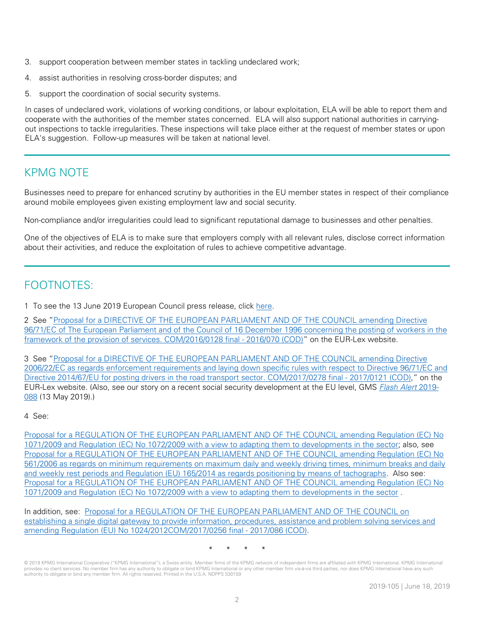- 3. support cooperation between member states in tackling undeclared work;
- 4. assist authorities in resolving cross-border disputes; and
- 5. support the coordination of social security systems.

In cases of undeclared work, violations of working conditions, or labour exploitation, ELA will be able to report them and cooperate with the authorities of the member states concerned. ELA will also support national authorities in carryingout inspections to tackle irregularities. These inspections will take place either at the request of member states or upon ELA's suggestion. Follow-up measures will be taken at national level.

## KPMG NOTE

Businesses need to prepare for enhanced scrutiny by authorities in the EU member states in respect of their compliance around mobile employees given existing employment law and social security.

Non-compliance and/or irregularities could lead to significant reputational damage to businesses and other penalties.

One of the objectives of ELA is to make sure that employers comply with all relevant rules, disclose correct information about their activities, and reduce the exploitation of rules to achieve competitive advantage.

# FOOTNOTES:

1 To see the 13 June 2019 European Council press release, click [here.](https://www.consilium.europa.eu/en/press/press-releases/2019/06/13/bratislava-to-host-the-european-labour-authority/)

2 See ["Proposal for a DIRECTIVE OF THE EUROPEAN PARLIAMENT AND OF THE COUNCIL amending Directive](https://eur-lex.europa.eu/legal-content/EN/TXT/?uri=COM:2016:0128:FIN)  [96/71/EC of The European Parliament and of the Council of 16 December 1996 concerning the posting of workers in the](https://eur-lex.europa.eu/legal-content/EN/TXT/?uri=COM:2016:0128:FIN)  [framework of the provision of services. COM/2016/0128 final -](https://eur-lex.europa.eu/legal-content/EN/TXT/?uri=COM:2016:0128:FIN) 2016/070 (COD)" on the EUR-Lex website.

3 See ["Proposal for a DIRECTIVE OF THE EUROPEAN PARLIAMENT AND OF THE COUNCIL amending Directive](https://eur-lex.europa.eu/legal-content/EN/TXT/?uri=CELEX%3A52016PC0815)  [2006/22/EC as regards enforcement requirements and laying down specific rules with respect to Directive 96/71/EC and](https://eur-lex.europa.eu/legal-content/EN/TXT/?uri=CELEX%3A52016PC0815)  [Directive 2014/67/EU for posting drivers in the road transport sector. COM/2017/0278 final -](https://eur-lex.europa.eu/legal-content/EN/TXT/?uri=CELEX%3A52016PC0815) 2017/0121 (COD)," on the EUR-Lex website. (Also, see our story on a recent social security development at the EU level, GMS [Flash Alert](https://home.kpmg/xx/en/home/insights/2019/05/flash-alert-2019-088.html) 2019-[088](https://home.kpmg/xx/en/home/insights/2019/05/flash-alert-2019-088.html) (13 May 2019).)

#### 4 See:

[Proposal for a REGULATION OF THE EUROPEAN PARLIAMENT AND OF THE COUNCIL amending Regulation \(EC\) No](http://www.europarl.europa.eu/RegData/docs_autres_institutions/commission_europeenne/com/2017/0281/COM_COM(2017)0281_EN.pdf)  [1071/2009 and Regulation \(EC\) No 1072/2009 with a view to adapting them to developments in the sector;](http://www.europarl.europa.eu/RegData/docs_autres_institutions/commission_europeenne/com/2017/0281/COM_COM(2017)0281_EN.pdf) also, see [Proposal for a REGULATION OF THE EUROPEAN PARLIAMENT AND OF THE COUNCIL amending Regulation \(EC\) No](https://ec.europa.eu/transparency/regdoc/rep/1/2017/EN/COM-2017-277-F1-EN-MAIN-PART-1.PDF)  [561/2006 as regards on minimum requirements on maximum daily and weekly driving times, minimum breaks and daily](https://ec.europa.eu/transparency/regdoc/rep/1/2017/EN/COM-2017-277-F1-EN-MAIN-PART-1.PDF)  [and weekly rest periods and Regulation \(EU\) 165/2014 as regards positioning by means of tachographs.](https://ec.europa.eu/transparency/regdoc/rep/1/2017/EN/COM-2017-277-F1-EN-MAIN-PART-1.PDF) Also see: [Proposal for a REGULATION OF THE EUROPEAN PARLIAMENT AND OF THE COUNCIL amending Regulation \(EC\) No](http://www.europarl.europa.eu/RegData/docs_autres_institutions/commission_europeenne/com/2017/0281/COM_COM(2017)0281_EN.pdf)  [1071/2009 and Regulation \(EC\) No 1072/2009 with a view to adapting them to developments in the sector](http://www.europarl.europa.eu/RegData/docs_autres_institutions/commission_europeenne/com/2017/0281/COM_COM(2017)0281_EN.pdf) .

In addition, see: [Proposal for a REGULATION OF THE EUROPEAN PARLIAMENT AND OF THE COUNCIL on](https://eur-lex.europa.eu/legal-content/EN/TXT/?uri=CELEX%3A52017PC0256)  [establishing a single digital gateway to provide information, procedures, assistance and problem solving services and](https://eur-lex.europa.eu/legal-content/EN/TXT/?uri=CELEX%3A52017PC0256)  [amending Regulation \(EU\) No 1024/2012COM/2017/0256 final -](https://eur-lex.europa.eu/legal-content/EN/TXT/?uri=CELEX%3A52017PC0256) 2017/086 (COD).

\* \* \* \*

<sup>© 2019</sup> KPMG International Cooperative ("KPMG International"), a Swiss entity. Member firms of the KPMG network of independent firms are affiliated with KPMG International. KPMG International provides no client services. No member firm has any authority to obligate or bind KPMG International or any other member firm vis-à-vis third parties, nor does KPMG International have any such authority to obligate or bind any member firm. All rights reserved. Printed in the U.S.A. NDPPS 530159